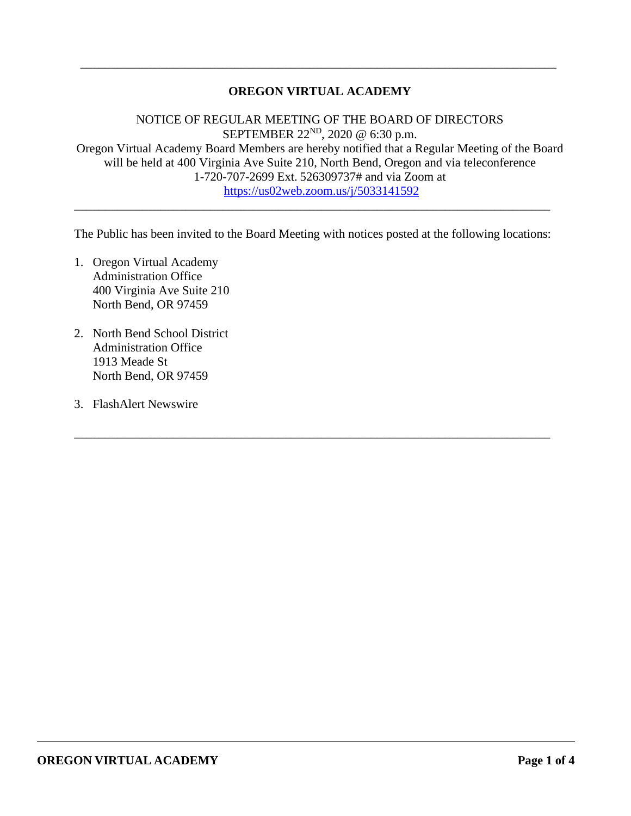## **OREGON VIRTUAL ACADEMY**

\_\_\_\_\_\_\_\_\_\_\_\_\_\_\_\_\_\_\_\_\_\_\_\_\_\_\_\_\_\_\_\_\_\_\_\_\_\_\_\_\_\_\_\_\_\_\_\_\_\_\_\_\_\_\_\_\_\_\_\_\_\_\_\_\_\_\_\_\_\_\_\_\_\_\_\_\_

NOTICE OF REGULAR MEETING OF THE BOARD OF DIRECTORS SEPTEMBER 22<sup>ND</sup>, 2020 @ 6:30 p.m. Oregon Virtual Academy Board Members are hereby notified that a Regular Meeting of the Board will be held at 400 Virginia Ave Suite 210, North Bend, Oregon and via teleconference 1-720-707-2699 Ext. 526309737# and via Zoom at <https://us02web.zoom.us/j/5033141592>

The Public has been invited to the Board Meeting with notices posted at the following locations:

\_\_\_\_\_\_\_\_\_\_\_\_\_\_\_\_\_\_\_\_\_\_\_\_\_\_\_\_\_\_\_\_\_\_\_\_\_\_\_\_\_\_\_\_\_\_\_\_\_\_\_\_\_\_\_\_\_\_\_\_\_\_\_\_\_\_\_\_\_\_\_\_\_\_\_\_\_

\_\_\_\_\_\_\_\_\_\_\_\_\_\_\_\_\_\_\_\_\_\_\_\_\_\_\_\_\_\_\_\_\_\_\_\_\_\_\_\_\_\_\_\_\_\_\_\_\_\_\_\_\_\_\_\_\_\_\_\_\_\_\_\_\_\_\_\_\_\_\_\_\_\_\_\_\_

- 1. Oregon Virtual Academy Administration Office 400 Virginia Ave Suite 210 North Bend, OR 97459
- 2. North Bend School District Administration Office 1913 Meade St North Bend, OR 97459
- 3. FlashAlert Newswire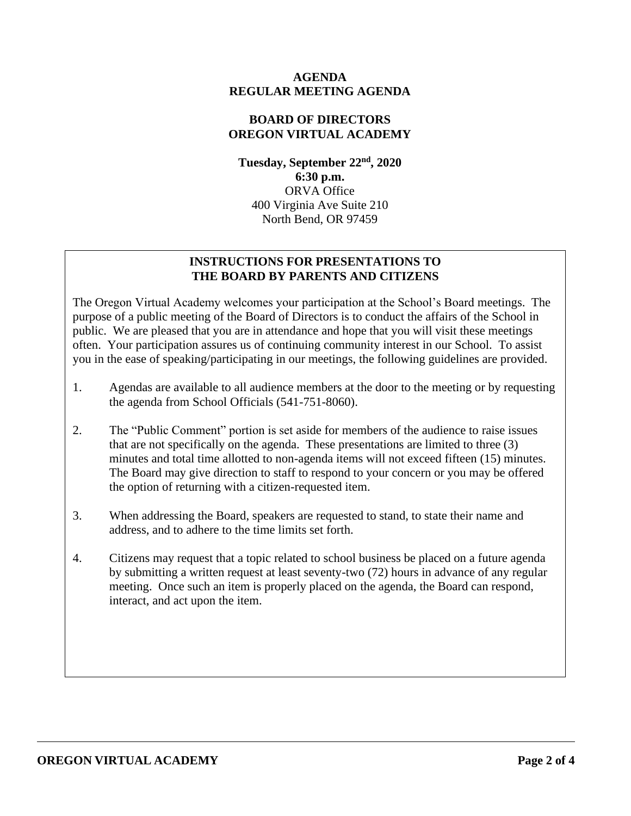## **AGENDA REGULAR MEETING AGENDA**

## **BOARD OF DIRECTORS OREGON VIRTUAL ACADEMY**

**Tuesday, September 22nd, 2020 6:30 p.m.** ORVA Office 400 Virginia Ave Suite 210 North Bend, OR 97459

## **INSTRUCTIONS FOR PRESENTATIONS TO THE BOARD BY PARENTS AND CITIZENS**

The Oregon Virtual Academy welcomes your participation at the School's Board meetings. The purpose of a public meeting of the Board of Directors is to conduct the affairs of the School in public. We are pleased that you are in attendance and hope that you will visit these meetings often. Your participation assures us of continuing community interest in our School. To assist you in the ease of speaking/participating in our meetings, the following guidelines are provided.

- 1. Agendas are available to all audience members at the door to the meeting or by requesting the agenda from School Officials (541-751-8060).
- 2. The "Public Comment" portion is set aside for members of the audience to raise issues that are not specifically on the agenda. These presentations are limited to three (3) minutes and total time allotted to non-agenda items will not exceed fifteen (15) minutes. The Board may give direction to staff to respond to your concern or you may be offered the option of returning with a citizen-requested item.
- 3. When addressing the Board, speakers are requested to stand, to state their name and address, and to adhere to the time limits set forth.
- 4. Citizens may request that a topic related to school business be placed on a future agenda by submitting a written request at least seventy-two (72) hours in advance of any regular meeting. Once such an item is properly placed on the agenda, the Board can respond, interact, and act upon the item.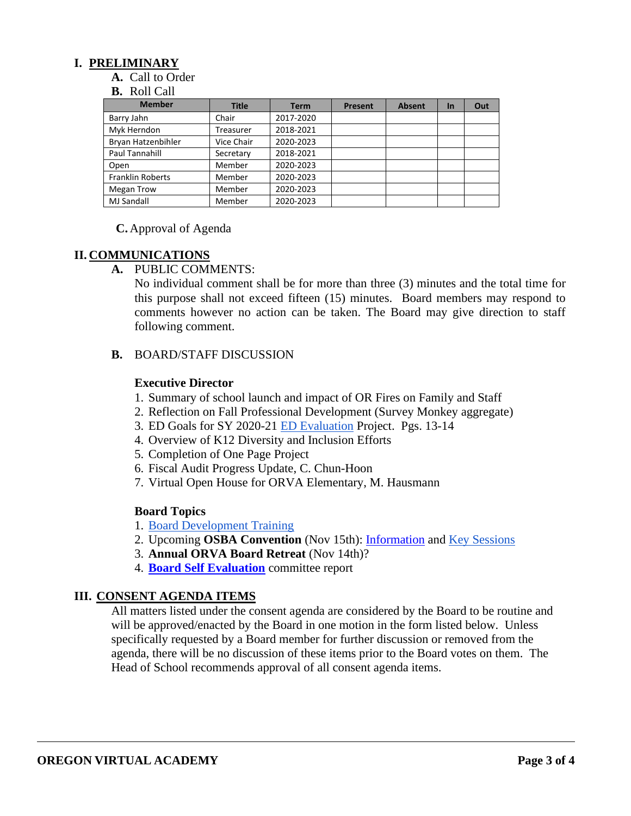## **I. PRELIMINARY**

**A.** Call to Order

#### **B.** Roll Call

| <b>Member</b>           | <b>Title</b> | <b>Term</b> | <b>Present</b> | <b>Absent</b> | <b>In</b> | Out |
|-------------------------|--------------|-------------|----------------|---------------|-----------|-----|
| Barry Jahn              | Chair        | 2017-2020   |                |               |           |     |
| Myk Herndon             | Treasurer    | 2018-2021   |                |               |           |     |
| Bryan Hatzenbihler      | Vice Chair   | 2020-2023   |                |               |           |     |
| Paul Tannahill          | Secretary    | 2018-2021   |                |               |           |     |
| Open                    | Member       | 2020-2023   |                |               |           |     |
| <b>Franklin Roberts</b> | Member       | 2020-2023   |                |               |           |     |
| <b>Megan Trow</b>       | Member       | 2020-2023   |                |               |           |     |
| <b>MJ Sandall</b>       | Member       | 2020-2023   |                |               |           |     |

#### **C.** Approval of Agenda

#### **II. COMMUNICATIONS**

**A.** PUBLIC COMMENTS:

No individual comment shall be for more than three (3) minutes and the total time for this purpose shall not exceed fifteen (15) minutes. Board members may respond to comments however no action can be taken. The Board may give direction to staff following comment.

#### **B.** BOARD/STAFF DISCUSSION

## **Executive Director**

- 1. Summary of school launch and impact of OR Fires on Family and Staff
- 2. Reflection on Fall Professional Development (Survey Monkey aggregate)
- 3. ED Goals for SY 2020-21 [ED Evaluation](https://docs.google.com/document/d/1ikp_Pxa50FnVOA75dm8aKlSnsJ4t43ZG23FDPEgn2lY/edit?usp=sharing) Project. Pgs. 13-14
- 4. Overview of K12 Diversity and Inclusion Efforts
- 5. Completion of One Page Project
- 6. Fiscal Audit Progress Update, C. Chun-Hoon
- 7. Virtual Open House for ORVA Elementary, M. Hausmann

#### **Board Topics**

- 1. [Board Development Training](https://docs.google.com/document/d/1L-oGB-LHkpYUitcaT_4qKlN48Unvhw3l07DTBZ8UrRw/edit?usp=sharing)
- 2. Upcoming **OSBA Convention** (Nov 15th): [Information](https://osbavac2020.pathable.co/) and [Key Sessions](https://drive.google.com/file/d/1r7-0Z7y_IzGKT3zkTgKx3bltIuOK7OGx/view?usp=sharing)
- 3. **Annual ORVA Board Retreat** (Nov 14th)?
- 4. **[Board Self Evaluation](https://docs.google.com/document/d/1MXGN5vF-4v_QRce3F2R0Y-RhvjjSDf8ZGXpZ7c9b89Y/edit?usp=sharing)** committee report

#### **III. CONSENT AGENDA ITEMS**

All matters listed under the consent agenda are considered by the Board to be routine and will be approved/enacted by the Board in one motion in the form listed below. Unless specifically requested by a Board member for further discussion or removed from the agenda, there will be no discussion of these items prior to the Board votes on them. The Head of School recommends approval of all consent agenda items.